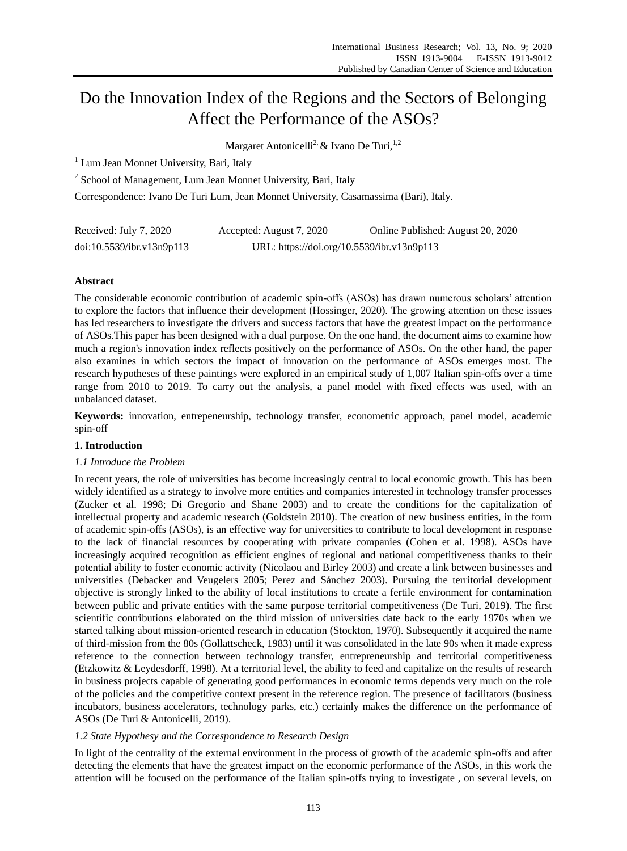# Do the Innovation Index of the Regions and the Sectors of Belonging Affect the Performance of the ASOs?

Margaret Antonicelli<sup>2,</sup> & Ivano De Turi,  $1,2$ 

<sup>1</sup> Lum Jean Monnet University, Bari, Italy

<sup>2</sup> School of Management, Lum Jean Monnet University, Bari, Italy

Correspondence: Ivano De Turi Lum, Jean Monnet University, Casamassima (Bari), Italy.

| Received: July 7, 2020    | Accepted: August 7, 2020                   | Online Published: August 20, 2020 |
|---------------------------|--------------------------------------------|-----------------------------------|
| doi:10.5539/ibr.v13n9p113 | URL: https://doi.org/10.5539/ibr.v13n9p113 |                                   |

# **Abstract**

The considerable economic contribution of academic spin-offs (ASOs) has drawn numerous scholars' attention to explore the factors that influence their development (Hossinger, 2020). The growing attention on these issues has led researchers to investigate the drivers and success factors that have the greatest impact on the performance of ASOs.This paper has been designed with a dual purpose. On the one hand, the document aims to examine how much a region's innovation index reflects positively on the performance of ASOs. On the other hand, the paper also examines in which sectors the impact of innovation on the performance of ASOs emerges most. The research hypotheses of these paintings were explored in an empirical study of 1,007 Italian spin-offs over a time range from 2010 to 2019. To carry out the analysis, a panel model with fixed effects was used, with an unbalanced dataset.

**Keywords:** innovation, entrepeneurship, technology transfer, econometric approach, panel model, academic spin-off

# **1. Introduction**

# *1.1 Introduce the Problem*

In recent years, the role of universities has become increasingly central to local economic growth. This has been widely identified as a strategy to involve more entities and companies interested in technology transfer processes (Zucker et al. 1998; Di Gregorio and Shane 2003) and to create the conditions for the capitalization of intellectual property and academic research (Goldstein 2010). The creation of new business entities, in the form of academic spin-offs (ASOs), is an effective way for universities to contribute to local development in response to the lack of financial resources by cooperating with private companies (Cohen et al. 1998). ASOs have increasingly acquired recognition as efficient engines of regional and national competitiveness thanks to their potential ability to foster economic activity (Nicolaou and Birley 2003) and create a link between businesses and universities (Debacker and Veugelers 2005; Perez and Sánchez 2003). Pursuing the territorial development objective is strongly linked to the ability of local institutions to create a fertile environment for contamination between public and private entities with the same purpose territorial competitiveness (De Turi, 2019). The first scientific contributions elaborated on the third mission of universities date back to the early 1970s when we started talking about mission-oriented research in education (Stockton, 1970). Subsequently it acquired the name of third-mission from the 80s (Gollattscheck, 1983) until it was consolidated in the late 90s when it made express reference to the connection between technology transfer, entrepreneurship and territorial competitiveness (Etzkowitz & Leydesdorff, 1998). At a territorial level, the ability to feed and capitalize on the results of research in business projects capable of generating good performances in economic terms depends very much on the role of the policies and the competitive context present in the reference region. The presence of facilitators (business incubators, business accelerators, technology parks, etc.) certainly makes the difference on the performance of ASOs (De Turi & Antonicelli, 2019).

# *1.2 State Hypothesy and the Correspondence to Research Design*

In light of the centrality of the external environment in the process of growth of the academic spin-offs and after detecting the elements that have the greatest impact on the economic performance of the ASOs, in this work the attention will be focused on the performance of the Italian spin-offs trying to investigate , on several levels, on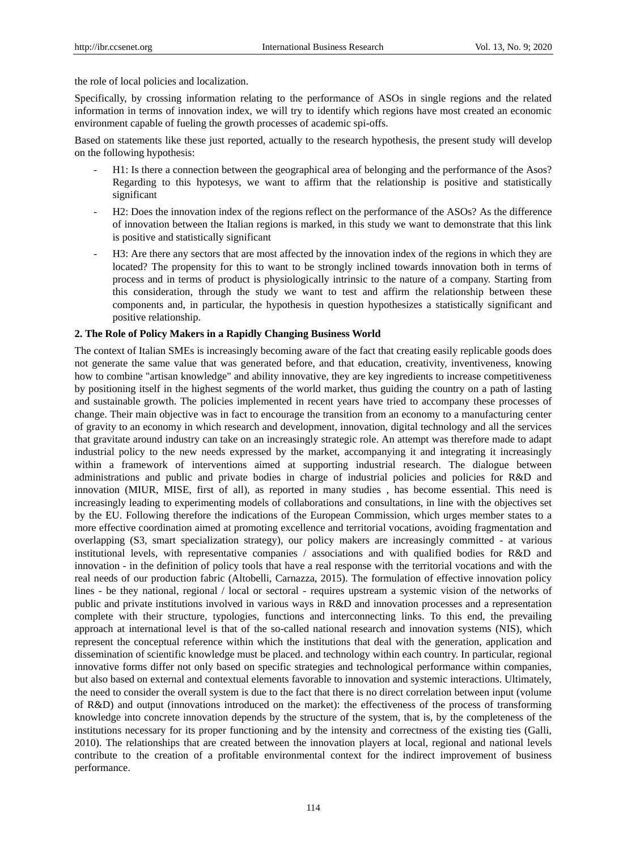the role of local policies and localization.

Specifically, by crossing information relating to the performance of ASOs in single regions and the related information in terms of innovation index, we will try to identify which regions have most created an economic environment capable of fueling the growth processes of academic spi-offs.

Based on statements like these just reported, actually to the research hypothesis, the present study will develop on the following hypothesis:

- H1: Is there a connection between the geographical area of belonging and the performance of the Asos? Regarding to this hypotesys, we want to affirm that the relationship is positive and statistically significant
- H2: Does the innovation index of the regions reflect on the performance of the ASOs? As the difference of innovation between the Italian regions is marked, in this study we want to demonstrate that this link is positive and statistically significant
- H3: Are there any sectors that are most affected by the innovation index of the regions in which they are located? The propensity for this to want to be strongly inclined towards innovation both in terms of process and in terms of product is physiologically intrinsic to the nature of a company. Starting from this consideration, through the study we want to test and affirm the relationship between these components and, in particular, the hypothesis in question hypothesizes a statistically significant and positive relationship.

#### **2. The Role of Policy Makers in a Rapidly Changing Business World**

The context of Italian SMEs is increasingly becoming aware of the fact that creating easily replicable goods does not generate the same value that was generated before, and that education, creativity, inventiveness, knowing how to combine "artisan knowledge" and ability innovative, they are key ingredients to increase competitiveness by positioning itself in the highest segments of the world market, thus guiding the country on a path of lasting and sustainable growth. The policies implemented in recent years have tried to accompany these processes of change. Their main objective was in fact to encourage the transition from an economy to a manufacturing center of gravity to an economy in which research and development, innovation, digital technology and all the services that gravitate around industry can take on an increasingly strategic role. An attempt was therefore made to adapt industrial policy to the new needs expressed by the market, accompanying it and integrating it increasingly within a framework of interventions aimed at supporting industrial research. The dialogue between administrations and public and private bodies in charge of industrial policies and policies for R&D and innovation (MIUR, MISE, first of all), as reported in many studies , has become essential. This need is increasingly leading to experimenting models of collaborations and consultations, in line with the objectives set by the EU. Following therefore the indications of the European Commission, which urges member states to a more effective coordination aimed at promoting excellence and territorial vocations, avoiding fragmentation and overlapping (S3, smart specialization strategy), our policy makers are increasingly committed - at various institutional levels, with representative companies / associations and with qualified bodies for R&D and innovation - in the definition of policy tools that have a real response with the territorial vocations and with the real needs of our production fabric (Altobelli, Carnazza, 2015). The formulation of effective innovation policy lines - be they national, regional / local or sectoral - requires upstream a systemic vision of the networks of public and private institutions involved in various ways in R&D and innovation processes and a representation complete with their structure, typologies, functions and interconnecting links. To this end, the prevailing approach at international level is that of the so-called national research and innovation systems (NIS), which represent the conceptual reference within which the institutions that deal with the generation, application and dissemination of scientific knowledge must be placed. and technology within each country. In particular, regional innovative forms differ not only based on specific strategies and technological performance within companies, but also based on external and contextual elements favorable to innovation and systemic interactions. Ultimately, the need to consider the overall system is due to the fact that there is no direct correlation between input (volume of R&D) and output (innovations introduced on the market): the effectiveness of the process of transforming knowledge into concrete innovation depends by the structure of the system, that is, by the completeness of the institutions necessary for its proper functioning and by the intensity and correctness of the existing ties (Galli, 2010). The relationships that are created between the innovation players at local, regional and national levels contribute to the creation of a profitable environmental context for the indirect improvement of business performance.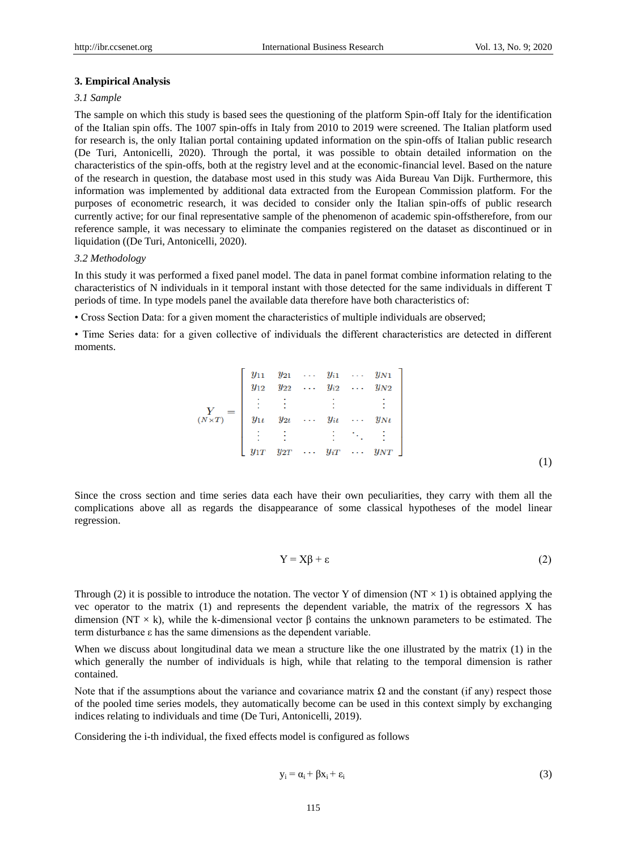#### **3. Empirical Analysis**

## *3.1 Sample*

The sample on which this study is based sees the questioning of the platform Spin-off Italy for the identification of the Italian spin offs. The 1007 spin-offs in Italy from 2010 to 2019 were screened. The Italian platform used for research is, the only Italian portal containing updated information on the spin-offs of Italian public research (De Turi, Antonicelli, 2020). Through the portal, it was possible to obtain detailed information on the characteristics of the spin-offs, both at the registry level and at the economic-financial level. Based on the nature of the research in question, the database most used in this study was Aida Bureau Van Dijk. Furthermore, this information was implemented by additional data extracted from the European Commission platform. For the purposes of econometric research, it was decided to consider only the Italian spin-offs of public research currently active; for our final representative sample of the phenomenon of academic spin-offstherefore, from our reference sample, it was necessary to eliminate the companies registered on the dataset as discontinued or in liquidation ((De Turi, Antonicelli, 2020).

#### *3.2 Methodology*

In this study it was performed a fixed panel model. The data in panel format combine information relating to the characteristics of N individuals in it temporal instant with those detected for the same individuals in different T periods of time. In type models panel the available data therefore have both characteristics of:

• Cross Section Data: for a given moment the characteristics of multiple individuals are observed;

• Time Series data: for a given collective of individuals the different characteristics are detected in different moments.

(1)

Since the cross section and time series data each have their own peculiarities, they carry with them all the complications above all as regards the disappearance of some classical hypotheses of the model linear regression.

$$
Y = X\beta + \varepsilon \tag{2}
$$

Through (2) it is possible to introduce the notation. The vector Y of dimension (NT  $\times$  1) is obtained applying the vec operator to the matrix (1) and represents the dependent variable, the matrix of the regressors X has dimension (NT × k), while the k-dimensional vector β contains the unknown parameters to be estimated. The term disturbance ε has the same dimensions as the dependent variable.

When we discuss about longitudinal data we mean a structure like the one illustrated by the matrix (1) in the which generally the number of individuals is high, while that relating to the temporal dimension is rather contained.

Note that if the assumptions about the variance and covariance matrix  $\Omega$  and the constant (if any) respect those of the pooled time series models, they automatically become can be used in this context simply by exchanging indices relating to individuals and time (De Turi, Antonicelli, 2019).

Considering the i-th individual, the fixed effects model is configured as follows

$$
y_i = \alpha_i + \beta x_i + \varepsilon_i \tag{3}
$$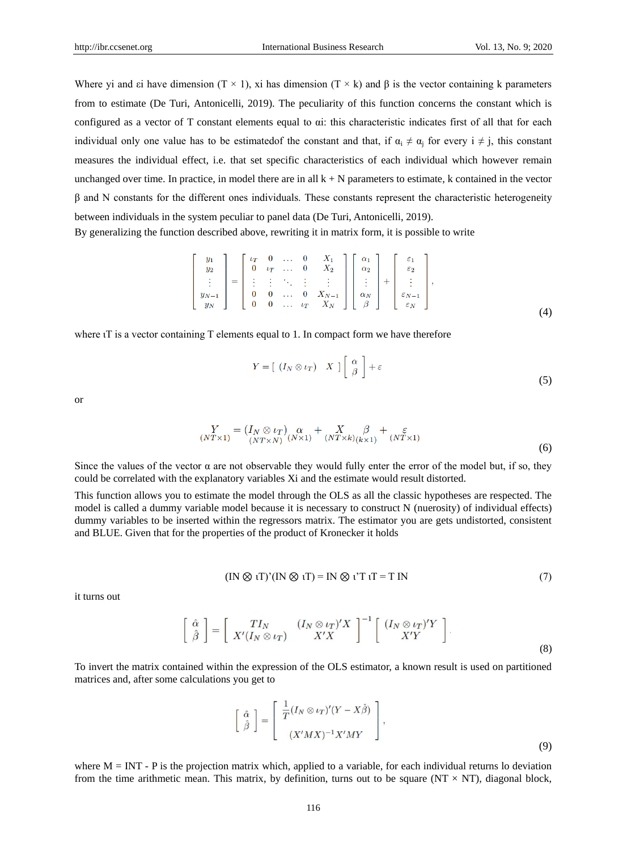Where yi and εi have dimension (T × 1), xi has dimension (T × k) and  $\beta$  is the vector containing k parameters from to estimate (De Turi, Antonicelli, 2019). The peculiarity of this function concerns the constant which is configured as a vector of T constant elements equal to αi: this characteristic indicates first of all that for each individual only one value has to be estimated f the constant and that, if  $\alpha_i \neq \alpha_j$  for every  $i \neq j$ , this constant measures the individual effect, i.e. that set specific characteristics of each individual which however remain unchanged over time. In practice, in model there are in all  $k + N$  parameters to estimate, k contained in the vector β and N constants for the different ones individuals. These constants represent the characteristic heterogeneity between individuals in the system peculiar to panel data (De Turi, Antonicelli, 2019). By generalizing the function described above, rewriting it in matrix form, it is possible to write

$$
\begin{bmatrix}y_1\\y_2\\ \vdots\\y_{N-1}\\y_N\end{bmatrix}=\begin{bmatrix}v_T & 0 & \dots & 0 & X_1\\0 & v_T & \dots & 0 & X_2\\ \vdots & \vdots & \ddots & \vdots & \vdots\\0 & 0 & \dots & 0 & X_{N-1}\\0 & 0 & \dots & v_T & X_N\end{bmatrix}\begin{bmatrix}\alpha_1\\ \alpha_2\\ \vdots\\ \alpha_N\\ \beta\end{bmatrix}+\begin{bmatrix}\varepsilon_1\\ \varepsilon_2\\ \vdots\\ \varepsilon_{N-1}\\ \varepsilon_N\end{bmatrix},\qquad(4)
$$

where  $iT$  is a vector containing T elements equal to 1. In compact form we have therefore

$$
Y = [ (I_N \otimes \iota_T) \quad X ] \left[ \begin{array}{c} \alpha \\ \beta \end{array} \right] + \varepsilon
$$
 (5)

or

$$
\underset{(NT \times 1)}{Y} = \left(\underset{(NT \times N)}{I_N} \alpha \underset{(N \times 1)}{X} + \underset{(NT \times k)}{X} \underset{(k \times 1)}{\beta} + \underset{(NT \times 1)}{\varepsilon}
$$
\n
$$
(6)
$$

Since the values of the vector  $\alpha$  are not observable they would fully enter the error of the model but, if so, they could be correlated with the explanatory variables Xi and the estimate would result distorted.

This function allows you to estimate the model through the OLS as all the classic hypotheses are respected. The model is called a dummy variable model because it is necessary to construct N (nuerosity) of individual effects) dummy variables to be inserted within the regressors matrix. The estimator you are gets undistorted, consistent and BLUE. Given that for the properties of the product of Kronecker it holds

$$
(IN \otimes iT)'(IN \otimes iT) = IN \otimes i'T T = T IN
$$
\n(7)

it turns out

$$
\left[\begin{array}{c}\n\hat{\alpha} \\
\hat{\beta}\n\end{array}\right] = \left[\begin{array}{cc}TI_N & (I_N \otimes \iota_T)'X \\
X'(I_N \otimes \iota_T) & XX'\n\end{array}\right]^{-1} \left[\begin{array}{c}(I_N \otimes \iota_T)'Y \\
X'Y\n\end{array}\right].
$$
\n(8)

To invert the matrix contained within the expression of the OLS estimator, a known result is used on partitioned matrices and, after some calculations you get to

$$
\begin{bmatrix} \hat{\alpha} \\ \hat{\beta} \end{bmatrix} = \begin{bmatrix} \frac{1}{T} (I_N \otimes \iota_T)'(Y - X\hat{\beta}) \\ (X'MX)^{-1}X'MY \end{bmatrix},
$$
\n(9)

where  $M = INT - P$  is the projection matrix which, applied to a variable, for each individual returns lo deviation from the time arithmetic mean. This matrix, by definition, turns out to be square (NT  $\times$  NT), diagonal block,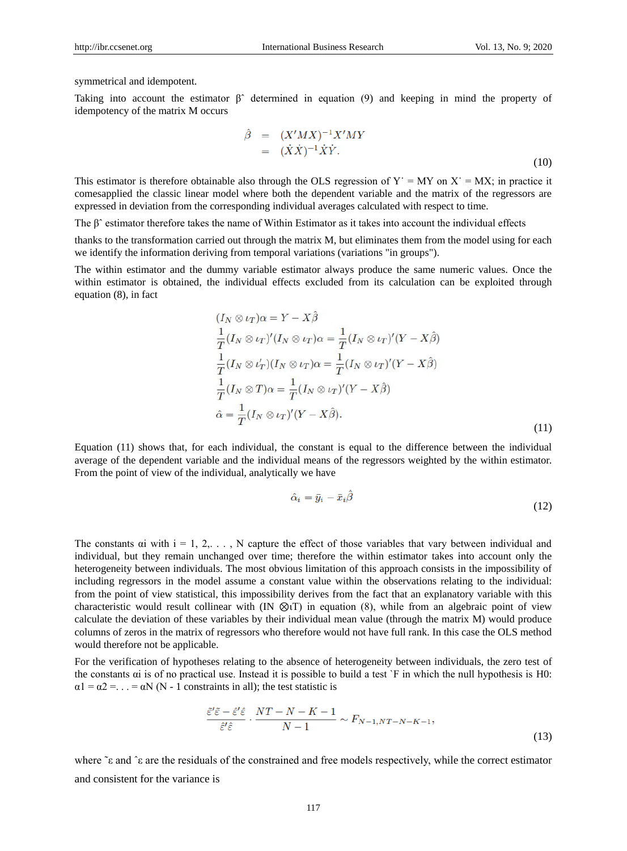symmetrical and idempotent.

Taking into account the estimator βˆ determined in equation (9) and keeping in mind the property of idempotency of the matrix M occurs

$$
\hat{\beta} = (X'MX)^{-1}X'MY
$$
  
=  $(\dot{X}\dot{X})^{-1}\dot{X}\dot{Y}.$  (10)

This estimator is therefore obtainable also through the OLS regression of  $Y' = MY$  on  $X' = MX$ ; in practice it comesapplied the classic linear model where both the dependent variable and the matrix of the regressors are expressed in deviation from the corresponding individual averages calculated with respect to time.

The βˆ estimator therefore takes the name of Within Estimator as it takes into account the individual effects

thanks to the transformation carried out through the matrix M, but eliminates them from the model using for each we identify the information deriving from temporal variations (variations "in groups").

The within estimator and the dummy variable estimator always produce the same numeric values. Once the within estimator is obtained, the individual effects excluded from its calculation can be exploited through equation (8), in fact

$$
(I_N \otimes \iota_T)\alpha = Y - X\beta
$$
  
\n
$$
\frac{1}{T}(I_N \otimes \iota_T)'(I_N \otimes \iota_T)\alpha = \frac{1}{T}(I_N \otimes \iota_T)'(Y - X\hat{\beta})
$$
  
\n
$$
\frac{1}{T}(I_N \otimes \iota_T')(I_N \otimes \iota_T)\alpha = \frac{1}{T}(I_N \otimes \iota_T)'(Y - X\hat{\beta})
$$
  
\n
$$
\frac{1}{T}(I_N \otimes T)\alpha = \frac{1}{T}(I_N \otimes \iota_T)'(Y - X\hat{\beta})
$$
  
\n
$$
\hat{\alpha} = \frac{1}{T}(I_N \otimes \iota_T)'(Y - X\hat{\beta}).
$$
\n(11)

Equation (11) shows that, for each individual, the constant is equal to the difference between the individual average of the dependent variable and the individual means of the regressors weighted by the within estimator. From the point of view of the individual, analytically we have

$$
\hat{\alpha}_i = \bar{y}_i - \bar{x}_i \beta \tag{12}
$$

The constants  $\alpha$  with  $i = 1, 2, \ldots$ , N capture the effect of those variables that vary between individual and individual, but they remain unchanged over time; therefore the within estimator takes into account only the heterogeneity between individuals. The most obvious limitation of this approach consists in the impossibility of including regressors in the model assume a constant value within the observations relating to the individual: from the point of view statistical, this impossibility derives from the fact that an explanatory variable with this characteristic would result collinear with (IN ⊗ιT) in equation (8), while from an algebraic point of view calculate the deviation of these variables by their individual mean value (through the matrix M) would produce columns of zeros in the matrix of regressors who therefore would not have full rank. In this case the OLS method would therefore not be applicable.

For the verification of hypotheses relating to the absence of heterogeneity between individuals, the zero test of the constants αi is of no practical use. Instead it is possible to build a test `F in which the null hypothesis is H0:  $\alpha$ 1 =  $\alpha$ 2 = . . . =  $\alpha$ N (N - 1 constraints in all); the test statistic is

$$
\frac{\tilde{\varepsilon}'\tilde{\varepsilon} - \hat{\varepsilon}'\hat{\varepsilon}}{\hat{\varepsilon}'\hat{\varepsilon}} \cdot \frac{NT - N - K - 1}{N - 1} \sim F_{N - 1, NT - N - K - 1},\tag{13}
$$

where ˜ε and ˆε are the residuals of the constrained and free models respectively, while the correct estimator and consistent for the variance is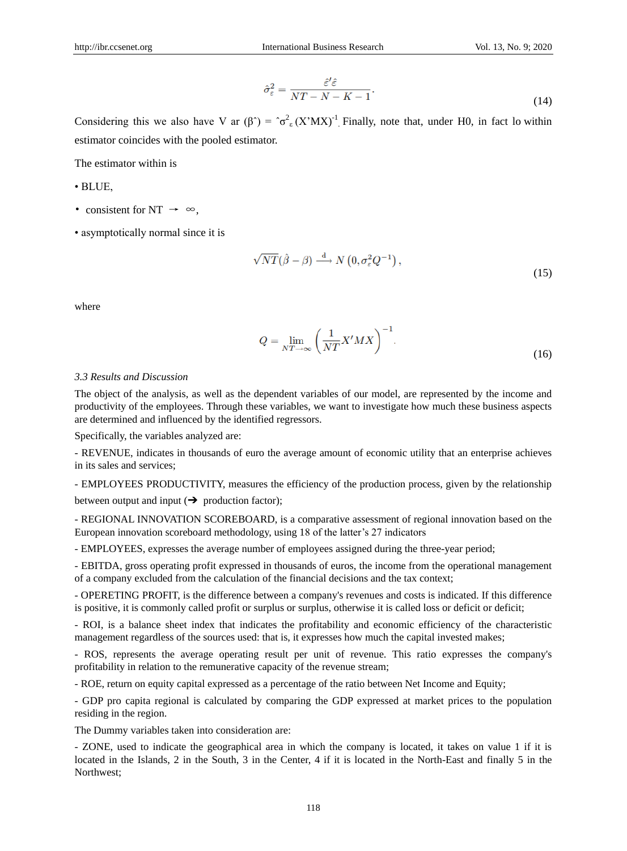$$
\hat{\sigma}_{\varepsilon}^{2} = \frac{\hat{\varepsilon}' \hat{\varepsilon}}{NT - N - K - 1}.
$$
\n(14)

Considering this we also have V ar  $(\beta^{\hat{ }}) = \hat{\sigma}_{\epsilon}^2 (X^{\hat{}} M X)^{-1}$ . Finally, note that, under H0, in fact lo within estimator coincides with the pooled estimator.

The estimator within is

- BLUE,
- consistent for NT  $\rightarrow \infty$ ,
- asymptotically normal since it is

$$
\sqrt{NT}(\hat{\beta} - \beta) \xrightarrow{d} N\left(0, \sigma_{\varepsilon}^2 Q^{-1}\right),\tag{15}
$$

where

$$
Q = \lim_{NT \to \infty} \left( \frac{1}{NT} X' M X \right)^{-1}.
$$
 (16)

#### *3.3 Results and Discussion*

The object of the analysis, as well as the dependent variables of our model, are represented by the income and productivity of the employees. Through these variables, we want to investigate how much these business aspects are determined and influenced by the identified regressors.

Specifically, the variables analyzed are:

- REVENUE, indicates in thousands of euro the average amount of economic utility that an enterprise achieves in its sales and services;

- EMPLOYEES PRODUCTIVITY, measures the efficiency of the production process, given by the relationship between output and input  $(\rightarrow)$  production factor);

- REGIONAL INNOVATION SCOREBOARD, is a comparative assessment of regional innovation based on the European innovation scoreboard methodology, using 18 of the latter's 27 indicators

- EMPLOYEES, expresses the average number of employees assigned during the three-year period;

- EBITDA, gross operating profit expressed in thousands of euros, the income from the operational management of a company excluded from the calculation of the financial decisions and the tax context;

- OPERETING PROFIT, is the difference between a company's revenues and costs is indicated. If this difference is positive, it is commonly called profit or surplus or surplus, otherwise it is called loss or deficit or deficit;

- ROI, is a balance sheet index that indicates the profitability and economic efficiency of the characteristic management regardless of the sources used: that is, it expresses how much the capital invested makes;

- ROS, represents the average operating result per unit of revenue. This ratio expresses the company's profitability in relation to the remunerative capacity of the revenue stream;

- ROE, return on equity capital expressed as a percentage of the ratio between Net Income and Equity;

- GDP pro capita regional is calculated by comparing the GDP expressed at market prices to the population residing in the region.

The Dummy variables taken into consideration are:

- ZONE, used to indicate the geographical area in which the company is located, it takes on value 1 if it is located in the Islands, 2 in the South, 3 in the Center, 4 if it is located in the North-East and finally 5 in the Northwest;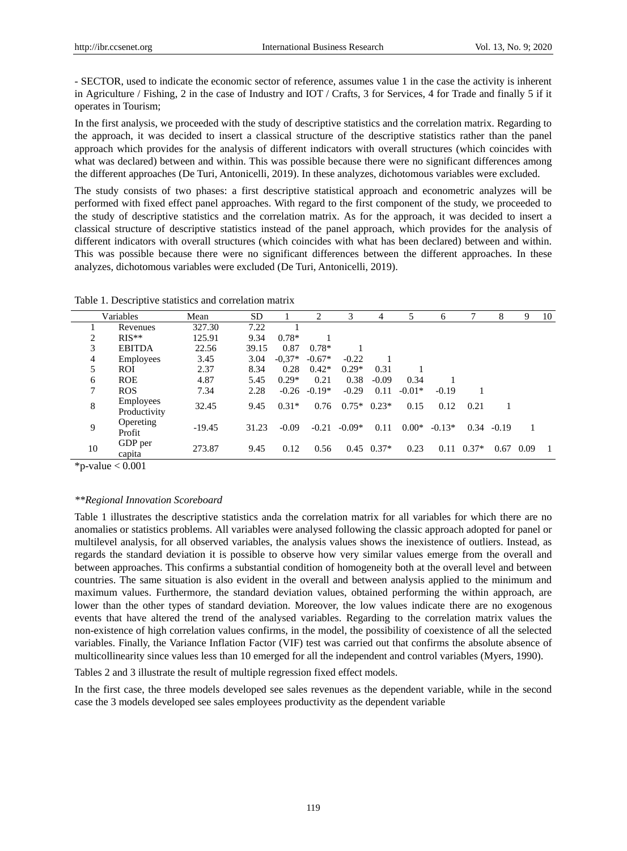- SECTOR, used to indicate the economic sector of reference, assumes value 1 in the case the activity is inherent in Agriculture / Fishing, 2 in the case of Industry and IOT / Crafts, 3 for Services, 4 for Trade and finally 5 if it operates in Tourism;

In the first analysis, we proceeded with the study of descriptive statistics and the correlation matrix. Regarding to the approach, it was decided to insert a classical structure of the descriptive statistics rather than the panel approach which provides for the analysis of different indicators with overall structures (which coincides with what was declared) between and within. This was possible because there were no significant differences among the different approaches (De Turi, Antonicelli, 2019). In these analyzes, dichotomous variables were excluded.

The study consists of two phases: a first descriptive statistical approach and econometric analyzes will be performed with fixed effect panel approaches. With regard to the first component of the study, we proceeded to the study of descriptive statistics and the correlation matrix. As for the approach, it was decided to insert a classical structure of descriptive statistics instead of the panel approach, which provides for the analysis of different indicators with overall structures (which coincides with what has been declared) between and within. This was possible because there were no significant differences between the different approaches. In these analyzes, dichotomous variables were excluded (De Turi, Antonicelli, 2019).

|    | Variables                        | Mean     | SD    |          | 2        |               | 4              | 5        | 6        |         | 8       | 9    | 10 |
|----|----------------------------------|----------|-------|----------|----------|---------------|----------------|----------|----------|---------|---------|------|----|
|    | Revenues                         | 327.30   | 7.22  |          |          |               |                |          |          |         |         |      |    |
| 2  | $RIS**$                          | 125.91   | 9.34  | $0.78*$  |          |               |                |          |          |         |         |      |    |
| 3  | <b>EBITDA</b>                    | 22.56    | 39.15 | 0.87     | $0.78*$  |               |                |          |          |         |         |      |    |
| 4  | <b>Employees</b>                 | 3.45     | 3.04  | $-0.37*$ | $-0.67*$ | $-0.22$       |                |          |          |         |         |      |    |
| 5  | <b>ROI</b>                       | 2.37     | 8.34  | 0.28     | $0.42*$  | $0.29*$       | 0.31           |          |          |         |         |      |    |
| 6  | <b>ROE</b>                       | 4.87     | 5.45  | $0.29*$  | 0.21     | 0.38          | $-0.09$        | 0.34     |          |         |         |      |    |
| 7  | <b>ROS</b>                       | 7.34     | 2.28  | $-0.26$  | $-0.19*$ | $-0.29$       | 0.11           | $-0.01*$ | $-0.19$  |         |         |      |    |
| 8  | <b>Employees</b><br>Productivity | 32.45    | 9.45  | $0.31*$  | 0.76     | $0.75*$ 0.23* |                | 0.15     | 0.12     | 0.21    |         |      |    |
| 9  | Opereting<br>Profit              | $-19.45$ | 31.23 | $-0.09$  | $-0.21$  | $-0.09*$      | 0.11           | $0.00*$  | $-0.13*$ | 0.34    | $-0.19$ |      |    |
| 10 | GDP per<br>capita                | 273.87   | 9.45  | 0.12     | 0.56     |               | $0.45$ $0.37*$ | 0.23     | 0.11     | $0.37*$ | 0.67    | 0.09 | -1 |

Table 1. Descriptive statistics and correlation matrix

 $*p$ -value  $< 0.001$ 

#### *\*\*Regional Innovation Scoreboard*

Table 1 illustrates the descriptive statistics anda the correlation matrix for all variables for which there are no anomalies or statistics problems. All variables were analysed following the classic approach adopted for panel or multilevel analysis, for all observed variables, the analysis values shows the inexistence of outliers. Instead, as regards the standard deviation it is possible to observe how very similar values emerge from the overall and between approaches. This confirms a substantial condition of homogeneity both at the overall level and between countries. The same situation is also evident in the overall and between analysis applied to the minimum and maximum values. Furthermore, the standard deviation values, obtained performing the within approach, are lower than the other types of standard deviation. Moreover, the low values indicate there are no exogenous events that have altered the trend of the analysed variables. Regarding to the correlation matrix values the non-existence of high correlation values confirms, in the model, the possibility of coexistence of all the selected variables. Finally, the Variance Inflation Factor (VIF) test was carried out that confirms the absolute absence of multicollinearity since values less than 10 emerged for all the independent and control variables (Myers, 1990).

Tables 2 and 3 illustrate the result of multiple regression fixed effect models.

In the first case, the three models developed see sales revenues as the dependent variable, while in the second case the 3 models developed see sales employees productivity as the dependent variable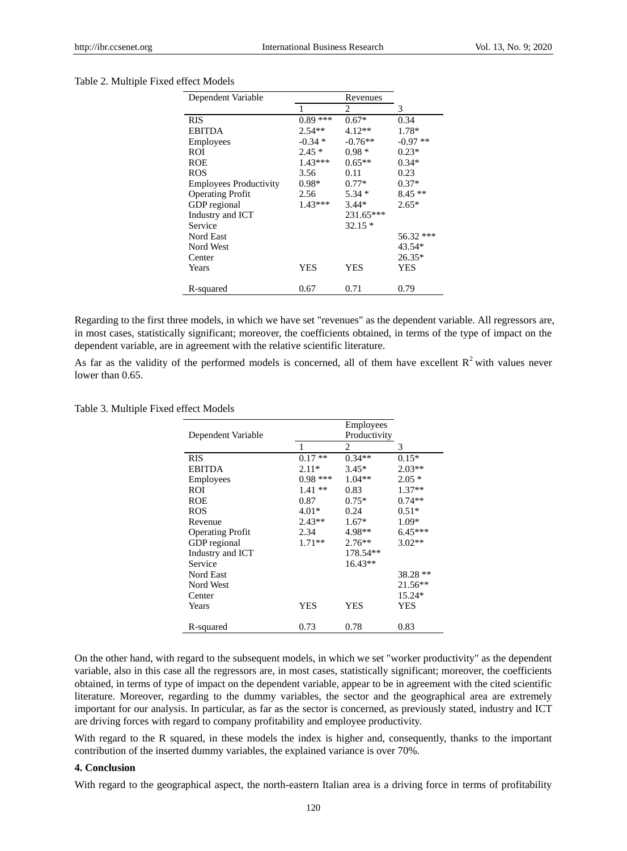#### Table 2. Multiple Fixed effect Models

| Dependent Variable            |           |            |           |
|-------------------------------|-----------|------------|-----------|
|                               | 1         | 2          | 3         |
| <b>RIS</b>                    | $0.89***$ | $0.67*$    | 0.34      |
| <b>EBITDA</b>                 | $2.54**$  | $4.12**$   | 1.78*     |
| <b>Employees</b>              | $-0.34*$  | $-0.76**$  | $-0.97**$ |
| <b>ROI</b>                    | $2.45*$   | $0.98 *$   | $0.23*$   |
| <b>ROE</b>                    | $1.43***$ | $0.65**$   | $0.34*$   |
| <b>ROS</b>                    | 3.56      | 0.11       | 0.23      |
| <b>Employees Productivity</b> | $0.98*$   | $0.77*$    | $0.37*$   |
| <b>Operating Profit</b>       | 2.56      | $5.34*$    | $8.45**$  |
| GDP regional                  | $1.43***$ | $3.44*$    | $2.65*$   |
| Industry and ICT              |           | 231.65***  |           |
| Service                       |           | $32.15*$   |           |
| Nord East                     |           |            | 56.32 *** |
| Nord West                     |           |            | 43.54*    |
| Center                        |           |            | $26.35*$  |
| Years                         | YES       | <b>YES</b> | YES       |
| R-squared                     | 0.67      | 0.71       | 0.79      |

Regarding to the first three models, in which we have set "revenues" as the dependent variable. All regressors are, in most cases, statistically significant; moreover, the coefficients obtained, in terms of the type of impact on the dependent variable, are in agreement with the relative scientific literature.

As far as the validity of the performed models is concerned, all of them have excellent  $R<sup>2</sup>$  with values never lower than 0.65.

Table 3. Multiple Fixed effect Models

| Dependent Variable      |           | <b>Employees</b><br>Productivity |           |
|-------------------------|-----------|----------------------------------|-----------|
|                         |           | $\overline{c}$                   | 3         |
| RIS                     | $0.17**$  | $0.34**$                         | $0.15*$   |
| <b>EBITDA</b>           | $2.11*$   | $3.45*$                          | $2.03**$  |
| <b>Employees</b>        | $0.98***$ | $1.04**$                         | $2.05*$   |
| <b>ROI</b>              | $1.41**$  | 0.83                             | $1.37**$  |
| <b>ROE</b>              | 0.87      | $0.75*$                          | $0.74**$  |
| <b>ROS</b>              | $4.01*$   | 0.24                             | $0.51*$   |
| Revenue                 | $2.43**$  | $1.67*$                          | $1.09*$   |
| <b>Operating Profit</b> | 2.34      | 4.98**                           | $6.45***$ |
| GDP regional            | $1.71**$  | $2.76**$                         | $3.02**$  |
| Industry and ICT        |           | 178.54**                         |           |
| Service                 |           | $16.43**$                        |           |
| Nord East               |           |                                  | 38.28 **  |
| Nord West               |           |                                  | 21.56**   |
| Center                  |           |                                  | 15.24*    |
| Years                   | YES       | YES                              | YES       |
|                         |           |                                  |           |
| R-squared               | 0.73      | 0.78                             | 0.83      |

On the other hand, with regard to the subsequent models, in which we set "worker productivity" as the dependent variable, also in this case all the regressors are, in most cases, statistically significant; moreover, the coefficients obtained, in terms of type of impact on the dependent variable, appear to be in agreement with the cited scientific literature. Moreover, regarding to the dummy variables, the sector and the geographical area are extremely important for our analysis. In particular, as far as the sector is concerned, as previously stated, industry and ICT are driving forces with regard to company profitability and employee productivity.

With regard to the R squared, in these models the index is higher and, consequently, thanks to the important contribution of the inserted dummy variables, the explained variance is over 70%.

# **4. Conclusion**

With regard to the geographical aspect, the north-eastern Italian area is a driving force in terms of profitability